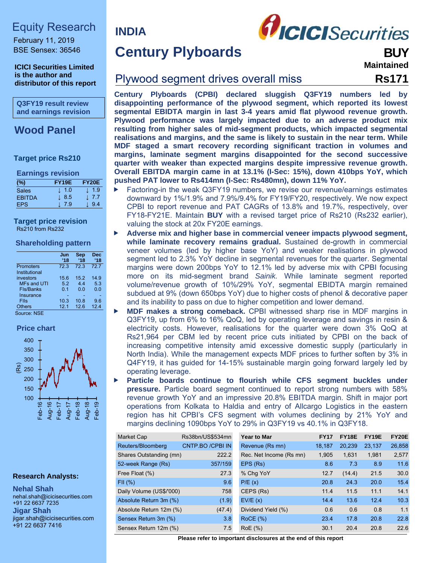# Equity Research

February 11, 2019 BSE Sensex: 36546

**ICICI Securities Limited is the author and distributor of this report**

**Q3FY19 result review and earnings revision** 

# **Wood Panel**

### **Target price Rs210**

#### **Earnings revision**

| (%)           | <b>FY19E</b> | <b>FY20E</b> |
|---------------|--------------|--------------|
| Sales         | $\perp$ 1.0  | $\perp$ 1.9  |
| <b>EBITDA</b> | l 8.5        | J. 7.7       |
| FPS.          | 7.9          | 9.4          |

#### **Target price revision**  Rs210 from Rs232

#### **Shareholding pattern**

|                    | Jun<br>$^{\prime}18$ | Sep<br>'18 | <b>Dec</b><br>'18 |
|--------------------|----------------------|------------|-------------------|
| Promoters          | 72.3                 | 72.3       | 72.7              |
| Institutional      |                      |            |                   |
| investors          | 15.6                 | 15.2       | 14.9              |
| <b>MFs and UTI</b> | 5.2                  | 44         | 5.3               |
| Fls/Banks          | 0.1                  | 0.0        | 0.0               |
| Insurance          |                      |            |                   |
| <b>Flis</b>        | 10.3                 | 10.8       | 9.6               |
| <b>Others</b>      | 12.1                 | 12.6       | 12.4              |

Source: NSE





#### **Research Analysts:**

**Nehal Shah**  nehal.shah@icicisecurities.com +91 22 6637 7235 **Jigar Shah**  jigar.shah@icicisecurities.com +91 22 6637 7416

**Century Plyboards** 

**INDIA** 



**Maintained**

# Plywood segment drives overall miss **Rs171**

**Century Plyboards (CPBI) declared sluggish Q3FY19 numbers led by disappointing performance of the plywood segment, which reported its lowest segmental EBIDTA margin in last 3-4 years amid flat plywood revenue growth. Plywood performance was largely impacted due to an adverse product mix resulting from higher sales of mid-segment products, which impacted segmental realisations and margins, and the same is likely to sustain in the near term. While MDF staged a smart recovery recording significant traction in volumes and margins, laminate segment margins disappointed for the second successive quarter with weaker than expected margins despite impressive revenue growth. Overall EBITDA margin came in at 13.1% (I-Sec: 15%), down 410bps YoY, which pushed PAT lower to Rs414mn (I-Sec: Rs480mn), down 11% YoY.** 

- Factoring-in the weak Q3FY19 numbers, we revise our revenue/earnings estimates downward by 1%/1.9% and 7.9%/9.4% for FY19/FY20, respectively. We now expect CPBI to report revenue and PAT CAGRs of 13.8% and 19.7%, respectively, over FY18-FY21E. Maintain **BUY** with a revised target price of Rs210 (Rs232 earlier), valuing the stock at 20x FY20E earnings.
- **Adverse mix and higher base in commercial veneer impacts plywood segment, while laminate recovery remains gradual.** Sustained de-growth in commercial veneer volumes (led by higher base YoY) and weaker realisations in plywood segment led to 2.3% YoY decline in segmental revenues for the quarter. Segmental margins were down 200bps YoY to 12.1% led by adverse mix with CPBI focusing more on its mid-segment brand *Sainik.* While laminate segment reported volume/revenue growth of 10%/29% YoY, segmental EBIDTA margin remained subdued at 9% (down 650bps YoY) due to higher costs of phenol & decorative paper and its inability to pass on due to higher competition and lower demand.
- **MDF makes a strong comeback.** CPBI witnessed sharp rise in MDF margins in Q3FY19, up from 6% to 16% QoQ, led by operating leverage and savings in resin & electricity costs. However, realisations for the quarter were down 3% QoQ at Rs21,964 per CBM led by recent price cuts initiated by CPBI on the back of increasing competitive intensity amid excessive domestic supply (particularly in North India). While the management expects MDF prices to further soften by 3% in Q4FY19, it has guided for 14-15% sustainable margin going forward largely led by operating leverage.
- **Particle boards continue to flourish while CFS segment buckles under pressure.** Particle board segment continued to report strong numbers with 58% revenue growth YoY and an impressive 20.8% EBITDA margin. Shift in major port operations from Kolkata to Haldia and entry of Allcargo Logistics in the eastern region has hit CPBI's CFS segment with volumes declining by 21% YoY and margins declining 1090bps YoY to 29% in Q3FY19 vs 40.1% in Q3FY18.

| Market Cap               | Rs38bn/US\$534mn | <b>Year to Mar</b>      | <b>FY17</b> | <b>FY18E</b> | <b>FY19E</b> | <b>FY20E</b> |
|--------------------------|------------------|-------------------------|-------------|--------------|--------------|--------------|
| Reuters/Bloomberg        | CNTP.BO /CPBI IN | Revenue (Rs mn)         | 18.187      | 20.239       | 23,137       | 26,858       |
| Shares Outstanding (mn)  | 222.2            | Rec. Net Income (Rs mn) | 1.905       | 1.631        | 1.981        | 2,577        |
| 52-week Range (Rs)       | 357/159          | EPS (Rs)                | 8.6         | 7.3          | 8.9          | 11.6         |
| Free Float (%)           | 27.3             | % Chg YoY               | 12.7        | (14.4)       | 21.5         | 30.0         |
| FII(%)                   | 9.6              | P/E(x)                  | 20.8        | 24.3         | 20.0         | 15.4         |
| Daily Volume (US\$/'000) | 758              | CEPS (Rs)               | 11.4        | 11.5         | 11.1         | 14.1         |
| Absolute Return 3m (%)   | (1.9)            | EVIE(x)                 | 14.4        | 13.6         | 12.4         | 10.3         |
| Absolute Return 12m (%)  | (47.4)           | Dividend Yield (%)      | 0.6         | 0.6          | 0.8          | 1.1          |
| Sensex Return 3m (%)     | 3.8              | ROCE(%)                 | 23.4        | 17.8         | 20.8         | 22.8         |
| Sensex Return 12m (%)    | 7.5              | RoE(%)                  | 30.1        | 20.4         | 20.8         | 22.6         |

**Please refer to important disclosures at the end of this report**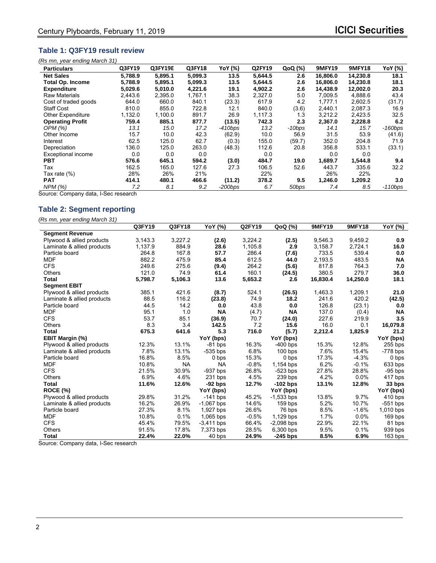## **Table 1: Q3FY19 result review**

|  | (Rs mn, year ending March 31) |
|--|-------------------------------|
|--|-------------------------------|

| <b>Particulars</b>        | Q3FY19  | <b>Q3FY19E</b> | Q3FY18  | YoY (%)    | Q2FY19  | QoQ (%)  | <b>9MFY19</b> | <b>9MFY18</b> | YoY (%)   |
|---------------------------|---------|----------------|---------|------------|---------|----------|---------------|---------------|-----------|
| <b>Net Sales</b>          | 5,788.9 | 5,895.1        | 5,099.3 | 13.5       | 5,644.5 | 2.6      | 16,806.0      | 14,230.8      | 18.1      |
| Total Op. Income          | 5,788.9 | 5,895.1        | 5,099.3 | 13.5       | 5,644.5 | 2.6      | 16,806.0      | 14,230.8      | 18.1      |
| <b>Expenditure</b>        | 5,029.6 | 5,010.0        | 4,221.6 | 19.1       | 4,902.2 | 2.6      | 14.438.9      | 12,002.0      | 20.3      |
| <b>Raw Materials</b>      | 2,443.6 | 2,395.0        | 1,767.1 | 38.3       | 2,327.0 | 5.0      | 7,009.5       | 4,888.6       | 43.4      |
| Cost of traded goods      | 644.0   | 660.0          | 840.1   | (23.3)     | 617.9   | 4.2      | 1.777.1       | 2,602.5       | (31.7)    |
| <b>Staff Cost</b>         | 810.0   | 855.0          | 722.8   | 12.1       | 840.0   | (3.6)    | 2,440.1       | 2,087.3       | 16.9      |
| <b>Other Expenditure</b>  | 1,132.0 | 1,100.0        | 891.7   | 26.9       | 1,117.3 | 1.3      | 3.212.2       | 2,423.5       | 32.5      |
| <b>Operating Profit</b>   | 759.4   | 885.1          | 877.7   | (13.5)     | 742.3   | 2.3      | 2,367.0       | 2,228.8       | 6.2       |
| OPM(%)                    | 13.1    | 15.0           | 17.2    | $-410bps$  | 13.2    | $-10bps$ | 14.1          | 15.7          | $-160bps$ |
| Other Income              | 15.7    | 10.0           | 42.3    | (62.9)     | 10.0    | 56.9     | 31.5          | 53.9          | (41.6)    |
| Interest                  | 62.5    | 125.0          | 62.7    | (0.3)      | 155.0   | (59.7)   | 352.0         | 204.8         | 71.9      |
| Depreciation              | 136.0   | 125.0          | 263.0   | (48.3)     | 112.6   | 20.8     | 356.8         | 533.1         | (33.1)    |
| <b>Exceptional income</b> | 0.0     | 0.0            | 0.0     |            | 0.0     |          | 0.0           | 0.0           |           |
| <b>PBT</b>                | 576.6   | 645.1          | 594.2   | (3.0)      | 484.7   | 19.0     | 1.689.7       | 1.544.8       | 9.4       |
| Tax                       | 162.5   | 165.0          | 127.6   | 27.3       | 106.5   | 52.6     | 443.7         | 335.6         | 32.2      |
| Tax rate (%)              | 28%     | 26%            | 21%     |            | 22%     |          | 26%           | 22%           |           |
| <b>PAT</b>                | 414.1   | 480.1          | 466.6   | (11.2)     | 378.2   | 9.5      | 1,246.0       | 1,209.2       | 3.0       |
| NPM (%)                   | 7.2     | 8.1            | 9.2     | $-200$ bps | 6.7     | 50bps    | 7.4           | 8.5           | $-110bps$ |

Source: Company data, I-Sec research

## **Table 2: Segment reporting**

*(Rs mn, year ending March 31)* 

|                            | Q3FY19  | Q3FY18    | YoY (%)      | Q2FY19  | QoQ (%)      | <b>9MFY19</b> | <b>9MFY18</b> | YoY (%)    |
|----------------------------|---------|-----------|--------------|---------|--------------|---------------|---------------|------------|
| <b>Segment Revenue</b>     |         |           |              |         |              |               |               |            |
| Plywood & allied products  | 3,143.3 | 3,227.2   | (2.6)        | 3,224.2 | (2.5)        | 9,546.3       | 9,459.2       | 0.9        |
| Laminate & allied products | 1,137.9 | 884.9     | 28.6         | 1,105.8 | 2.9          | 3,158.7       | 2,724.1       | 16.0       |
| Particle board             | 264.8   | 167.8     | 57.7         | 286.4   | (7.6)        | 733.5         | 539.4         | 0.0        |
| <b>MDF</b>                 | 882.2   | 475.9     | 85.4         | 612.5   | 44.0         | 2,193.5       | 483.5         | <b>NA</b>  |
| <b>CFS</b>                 | 249.6   | 275.6     | (9.4)        | 264.2   | (5.6)        | 817.8         | 764.3         | 7.0        |
| Others                     | 121.0   | 74.9      | 61.4         | 160.1   | (24.5)       | 380.5         | 279.7         | 36.0       |
| Total                      | 5,798.7 | 5,106.3   | 13.6         | 5,653.2 | 2.6          | 16,830.4      | 14,250.0      | 18.1       |
| <b>Segment EBIT</b>        |         |           |              |         |              |               |               |            |
| Plywood & allied products  | 385.1   | 421.6     | (8.7)        | 524.1   | (26.5)       | 1,463.3       | 1,209.1       | 21.0       |
| Laminate & allied products | 88.5    | 116.2     | (23.8)       | 74.9    | 18.2         | 241.6         | 420.2         | (42.5)     |
| Particle board             | 44.5    | 14.2      | 0.0          | 43.8    | 0.0          | 126.8         | (23.1)        | 0.0        |
| <b>MDF</b>                 | 95.1    | 1.0       | <b>NA</b>    | (4.7)   | <b>NA</b>    | 137.0         | (0.4)         | <b>NA</b>  |
| <b>CFS</b>                 | 53.7    | 85.1      | (36.9)       | 70.7    | (24.0)       | 227.6         | 219.9         | 3.5        |
| Others                     | 8.3     | 3.4       | 142.5        | 7.2     | 15.6         | 16.0          | 0.1           | 16,079.8   |
| Total                      | 675.3   | 641.6     | 5.3          | 716.0   | (5.7)        | 2,212.4       | 1,825.9       | 21.2       |
| EBIT Margin (%)            |         |           | YoY (bps)    |         | YoY (bps)    |               |               | YoY (bps)  |
| Plywood & allied products  | 12.3%   | 13.1%     | $-81$ bps    | 16.3%   | $-400$ bps   | 15.3%         | 12.8%         | $255$ bps  |
| Laminate & allied products | 7.8%    | 13.1%     | $-535$ bps   | 6.8%    | $100$ bps    | 7.6%          | 15.4%         | $-778$ bps |
| Particle board             | 16.8%   | 8.5%      | 0 bps        | 15.3%   | 0 bps        | 17.3%         | $-4.3%$       | 0 bps      |
| <b>MDF</b>                 | 10.8%   | <b>NA</b> | <b>NA</b>    | $-0.8%$ | 1,154 bps    | 6.2%          | $-0.1%$       | 633 bps    |
| <b>CFS</b>                 | 21.5%   | 30.9%     | $-937$ bps   | 26.8%   | $-523$ bps   | 27.8%         | 28.8%         | $-95$ bps  |
| <b>Others</b>              | 6.9%    | 4.6%      | 231 bps      | 4.5%    | 239 bps      | 4.2%          | 0.0%          | 417 bps    |
| <b>Total</b>               | 11.6%   | 12.6%     | $-92$ bps    | 12.7%   | $-102$ bps   | 13.1%         | 12.8%         | 33 bps     |
| ROCE (%)                   |         |           | YoY (bps)    |         | YoY (bps)    |               |               | YoY (bps)  |
| Plywood & allied products  | 29.8%   | 31.2%     | $-141$ bps   | 45.2%   | $-1,533$ bps | 13.8%         | 9.7%          | 410 bps    |
| Laminate & allied products | 16.2%   | 26.9%     | $-1,067$ bps | 14.6%   | $159$ bps    | 5.2%          | 10.7%         | $-551$ bps |
| Particle board             | 27.3%   | 8.1%      | 1,927 bps    | 26.6%   | 76 bps       | 8.5%          | $-1.6%$       | 1,010 bps  |
| <b>MDF</b>                 | 10.8%   | 0.1%      | 1,065 bps    | $-0.5%$ | 1,129 bps    | 1.7%          | 0.0%          | $169$ bps  |
| <b>CFS</b>                 | 45.4%   | 79.5%     | $-3,411$ bps | 66.4%   | $-2,098$ bps | 22.9%         | 22.1%         | 81 bps     |
| Others                     | 91.5%   | 17.8%     | 7,373 bps    | 28.5%   | 6,300 bps    | 9.5%          | 0.1%          | 939 bps    |
| <b>Total</b>               | 22.4%   | 22.0%     | 40 bps       | 24.9%   | $-245$ bps   | 8.5%          | 6.9%          | 163 bps    |

Source: Company data, I-Sec research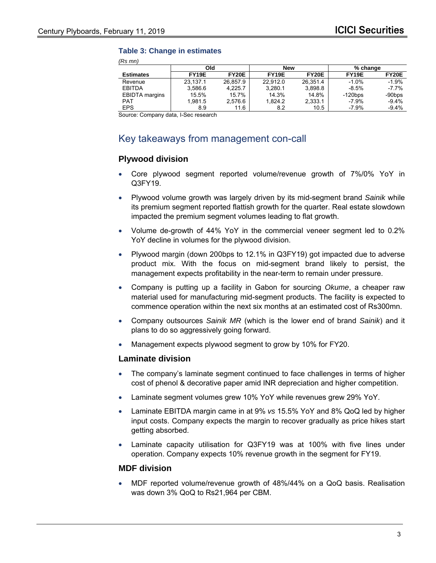#### **Table 3: Change in estimates**

*(Rs mn)* 

|                       | Old      |          |          | <b>New</b>   | % change           |              |
|-----------------------|----------|----------|----------|--------------|--------------------|--------------|
| <b>Estimates</b>      | FY19E    | FY20E    | FY19E    | <b>FY20E</b> | FY <sub>19</sub> E | <b>FY20E</b> |
| Revenue               | 23.137.1 | 26.857.9 | 22.912.0 | 26.351.4     | $-1.0%$            | $-1.9%$      |
| <b>EBITDA</b>         | 3.586.6  | 4.225.7  | 3.280.1  | 3.898.8      | $-8.5%$            | $-7.7%$      |
| <b>EBIDTA</b> margins | 15.5%    | 15.7%    | 14.3%    | 14.8%        | $-120bps$          | $-90$ bps    |
| <b>PAT</b>            | 1.981.5  | 2.576.6  | 1.824.2  | 2,333.1      | $-7.9\%$           | $-9.4\%$     |
| <b>EPS</b>            | 8.9      | 11.6     | 8.2      | 10.5         | $-7.9%$            | $-9.4%$      |

Source: Company data, I-Sec research

# Key takeaways from management con-call

## **Plywood division**

- Core plywood segment reported volume/revenue growth of 7%/0% YoY in Q3FY19.
- Plywood volume growth was largely driven by its mid-segment brand *Sainik* while its premium segment reported flattish growth for the quarter. Real estate slowdown impacted the premium segment volumes leading to flat growth.
- Volume de-growth of 44% YoY in the commercial veneer segment led to 0.2% YoY decline in volumes for the plywood division.
- Plywood margin (down 200bps to 12.1% in Q3FY19) got impacted due to adverse product mix. With the focus on mid-segment brand likely to persist, the management expects profitability in the near-term to remain under pressure.
- Company is putting up a facility in Gabon for sourcing *Okume*, a cheaper raw material used for manufacturing mid-segment products. The facility is expected to commence operation within the next six months at an estimated cost of Rs300mn.
- Company outsources *Sainik MR* (which is the lower end of brand *Sainik*) and it plans to do so aggressively going forward.
- Management expects plywood segment to grow by 10% for FY20.

#### **Laminate division**

- The company's laminate segment continued to face challenges in terms of higher cost of phenol & decorative paper amid INR depreciation and higher competition.
- Laminate segment volumes grew 10% YoY while revenues grew 29% YoY.
- Laminate EBITDA margin came in at 9% *vs* 15.5% YoY and 8% QoQ led by higher input costs. Company expects the margin to recover gradually as price hikes start getting absorbed.
- Laminate capacity utilisation for Q3FY19 was at 100% with five lines under operation. Company expects 10% revenue growth in the segment for FY19.

#### **MDF division**

 MDF reported volume/revenue growth of 48%/44% on a QoQ basis. Realisation was down 3% QoQ to Rs21,964 per CBM.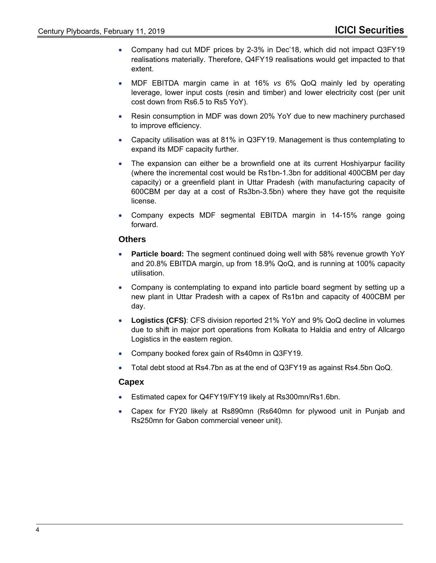- Company had cut MDF prices by 2-3% in Dec'18, which did not impact Q3FY19 realisations materially. Therefore, Q4FY19 realisations would get impacted to that extent.
- MDF EBITDA margin came in at 16% *vs* 6% QoQ mainly led by operating leverage, lower input costs (resin and timber) and lower electricity cost (per unit cost down from Rs6.5 to Rs5 YoY).
- Resin consumption in MDF was down 20% YoY due to new machinery purchased to improve efficiency.
- Capacity utilisation was at 81% in Q3FY19. Management is thus contemplating to expand its MDF capacity further.
- The expansion can either be a brownfield one at its current Hoshiyarpur facility (where the incremental cost would be Rs1bn-1.3bn for additional 400CBM per day capacity) or a greenfield plant in Uttar Pradesh (with manufacturing capacity of 600CBM per day at a cost of Rs3bn-3.5bn) where they have got the requisite license.
- Company expects MDF segmental EBITDA margin in 14-15% range going forward.

#### **Others**

- **Particle board:** The segment continued doing well with 58% revenue growth YoY and 20.8% EBITDA margin, up from 18.9% QoQ, and is running at 100% capacity utilisation.
- Company is contemplating to expand into particle board segment by setting up a new plant in Uttar Pradesh with a capex of Rs1bn and capacity of 400CBM per day.
- **Logistics (CFS)**: CFS division reported 21% YoY and 9% QoQ decline in volumes due to shift in major port operations from Kolkata to Haldia and entry of Allcargo Logistics in the eastern region.
- Company booked forex gain of Rs40mn in Q3FY19.
- Total debt stood at Rs4.7bn as at the end of Q3FY19 as against Rs4.5bn QoQ.

#### **Capex**

- Estimated capex for Q4FY19/FY19 likely at Rs300mn/Rs1.6bn.
- Capex for FY20 likely at Rs890mn (Rs640mn for plywood unit in Punjab and Rs250mn for Gabon commercial veneer unit).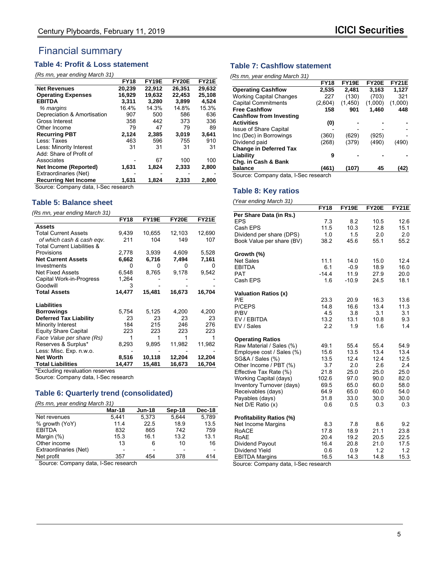# Financial summary

## **Table 4: Profit & Loss statement**

#### *(Rs mn, year ending March 31)*

|                             | <b>FY18</b> | FY19E  | <b>FY20E</b> | <b>FY21E</b> |
|-----------------------------|-------------|--------|--------------|--------------|
| <b>Net Revenues</b>         | 20.239      | 22.912 | 26.351       | 29.632       |
| <b>Operating Expenses</b>   | 16,929      | 19,632 | 22,453       | 25,108       |
| <b>EBITDA</b>               | 3.311       | 3.280  | 3,899        | 4,524        |
| % margins                   | 16.4%       | 14.3%  | 14.8%        | 15.3%        |
| Depreciation & Amortisation | 907         | 500    | 586          | 636          |
| Gross Interest              | 358         | 442    | 373          | 336          |
| Other Income                | 79          | 47     | 79           | 89           |
| <b>Recurring PBT</b>        | 2,124       | 2,385  | 3,019        | 3,641        |
| Less: Taxes                 | 463         | 596    | 755          | 910          |
| Less: Minority Interest     | 31          | 31     | 31           | 31           |
| Add: Share of Profit of     |             |        |              |              |
| Associates                  |             | 67     | 100          | 100          |
| Net Income (Reported)       | 1,631       | 1,824  | 2,333        | 2,800        |
| Extraordinaries (Net)       |             |        |              |              |
| <b>Recurring Net Income</b> | 1,631       | 1,824  | 2,333        | 2,800        |
|                             |             |        |              |              |

Source: Company data, I-Sec research

#### **Table 5: Balance sheet**

*(Rs mn, year ending March 31)* 

|                                        | <b>FY18</b> | FY19E  | FY20E  | <b>FY21E</b> |
|----------------------------------------|-------------|--------|--------|--------------|
| <b>Assets</b>                          |             |        |        |              |
| <b>Total Current Assets</b>            | 9,439       | 10,655 | 12,103 | 12,690       |
| of which cash & cash eqv.              | 211         | 104    | 149    | 107          |
| <b>Total Current Liabilities &amp;</b> |             |        |        |              |
| Provisions                             | 2,778       | 3,939  | 4,609  | 5,528        |
| <b>Net Current Assets</b>              | 6,662       | 6,716  | 7,494  | 7,161        |
| Investments                            | O           | Ω      | O      | O            |
| <b>Net Fixed Assets</b>                | 6,548       | 8,765  | 9,178  | 9,542        |
| Capital Work-in-Progress               | 1,264       |        |        |              |
| Goodwill                               | 3           |        |        |              |
| <b>Total Assets</b>                    | 14,477      | 15,481 | 16,673 | 16,704       |
| <b>Liabilities</b>                     |             |        |        |              |
| <b>Borrowings</b>                      | 5,754       | 5,125  | 4,200  | 4,200        |
| <b>Deferred Tax Liability</b>          | 23          | 23     | 23     | 23           |
| Minority Interest                      | 184         | 215    | 246    | 276          |
| <b>Equity Share Capital</b>            | 223         | 223    | 223    | 223          |
| Face Value per share (Rs)              |             |        |        |              |
| Reserves & Surplus*                    | 8,293       | 9,895  | 11,982 | 11,982       |
| Less: Misc. Exp. n.w.o.                |             |        |        |              |
| <b>Net Worth</b>                       | 8,516       | 10,118 | 12,204 | 12,204       |
| <b>Total Liabilities</b>               | 14,477      | 15,481 | 16,673 | 16,704       |
| $\star$ Evaluding rovaluation reconseq |             |        |        |              |

**Excluding revaluation reserves** 

Source: Company data, I-Sec research

## **Table 6: Quarterly trend (consolidated)**

*(Rs mn, year ending March 31)* 

|                       | Mar-18 | <b>Jun-18</b> | Sep-18 | Dec-18 |
|-----------------------|--------|---------------|--------|--------|
| Net revenues          | 5,441  | 5,373         | 5.644  | 5,789  |
| % growth (YoY)        | 11.4   | 22.5          | 18.9   | 13.5   |
| <b>EBITDA</b>         | 832    | 865           | 742    | 759    |
| Margin (%)            | 15.3   | 16.1          | 13.2   | 13.1   |
| Other income          | 13     | 6             | 10     | 16     |
| Extraordinaries (Net) |        | -             |        |        |
| Net profit            | 357    | 454           | 378    | 414    |

Source: Company data, I-Sec research

#### **Table 7: Cashflow statement**

|                                     | <b>FY18</b> | FY19E   | <b>FY20E</b> | <b>FY21E</b> |
|-------------------------------------|-------------|---------|--------------|--------------|
| <b>Operating Cashflow</b>           | 2,535       | 2,481   | 3,163        | 1,127        |
| <b>Working Capital Changes</b>      | 227         | (130)   | (703)        | 321          |
| <b>Capital Commitments</b>          | (2,604)     | (1,450) | (1,000)      | (1,000)      |
| <b>Free Cashflow</b>                | 158         | 901     | 1.460        | 448          |
| <b>Cashflow from Investing</b>      |             |         |              |              |
| <b>Activities</b>                   | (0)         |         |              |              |
| <b>Issue of Share Capital</b>       |             |         |              |              |
| Inc (Dec) in Borrowings             | (360)       | (629)   | (925)        |              |
| Dividend paid                       | (268)       | (379)   | (490)        | (490)        |
| <b>Change in Deferred Tax</b>       |             |         |              |              |
| Liability                           | 9           |         |              |              |
| Chg. in Cash & Bank                 |             |         |              |              |
| balance                             | (461)       | (107)   | 45           | (42)         |
| Source: Company data I Soc research |             |         |              |              |

Source: Company data, I-Sec research

#### **Table 8: Key ratios**

| (Year ending March 31)      |                |         |              |              |
|-----------------------------|----------------|---------|--------------|--------------|
|                             | <b>FY18</b>    | FY19E   | <b>FY20E</b> | <b>FY21E</b> |
| Per Share Data (in Rs.)     |                |         |              |              |
| <b>EPS</b>                  | 7.3            | 8.2     | 10.5         | 12.6         |
| Cash EPS                    | 11.5           | 10.3    | 12.8         | 15.1         |
| Dividend per share (DPS)    | 1.0            | 1.5     | 2.0          | 2.0          |
| Book Value per share (BV)   | 38.2           | 45.6    | 55.1         | 55.2         |
| Growth (%)                  |                |         |              |              |
| <b>Net Sales</b>            | 11.1           | 14.0    | 15.0         | 12.4         |
| <b>EBITDA</b>               | 6.1            | $-0.9$  | 18.9         | 16.0         |
| <b>PAT</b>                  | $-14.4$        | 11.9    | 27.9         | 20.0         |
| Cash EPS                    | 1.6            | $-10.9$ | 24.5         | 18.1         |
| <b>Valuation Ratios (x)</b> |                |         |              |              |
| P/E                         | 23.3           | 20.9    | 16.3         | 13.6         |
| P/CEPS                      | 14.8           | 16.6    | 13.4         | 11.3         |
| P/BV                        | 4.5            | 3.8     | 3.1          | 3.1          |
| EV / EBITDA                 | 13.2           | 13.1    | 10.8         | 9.3          |
| EV / Sales                  | 2.2            | 1.9     | 1.6          | 1.4          |
| <b>Operating Ratios</b>     |                |         |              |              |
| Raw Material / Sales (%)    | 49.1           | 55.4    | 55.4         | 54.9         |
| Employee cost / Sales (%)   | 15.6           | 13.5    | 13.4         | 13.4         |
| SG&A / Sales (%)            | 13.5           | 12.4    | 12.4         | 12.5         |
| Other Income / PBT (%)      | 3.7            | 2.0     | 2.6          | 2.4          |
| Effective Tax Rate (%)      | 21.8           | 25.0    | 25.0         | 25.0         |
| Working Capital (days)      | 102.6          | 97.0    | 90.0         | 82.0         |
| Inventory Turnover (days)   | 69.5           | 65.0    | 60.0         | 58.0         |
| Receivables (days)          | 64.9           | 65.0    | 60.0         | 54.0         |
| Payables (days)             | 31.8           | 33.0    | 30.0         | 30.0         |
| Net D/E Ratio (x)           | 0.6            | 0.5     | 0.3          | 0.3          |
| Profitability Ratios (%)    |                |         |              |              |
| Net Income Margins          | 8.3            | 7.8     | 8.6          | 9.2          |
| <b>RoACE</b>                | 17.8           | 18.9    | 21.1         | 23.8         |
| RoAE                        | 20.4           | 19.2    | 20.5         | 22.5         |
| Dividend Payout             | 16.4           | 20.8    | 21.0         | 17.5         |
| Dividend Yield              | 0.6            | 0.9     | 1.2          | 1.2          |
| <b>EBITDA Margins</b>       | 16.5           | 14.3    | 14.8         | 15.3         |
| Source: Company data        | L-Sec research |         |              |              |

Source: Company data, I-Sec research